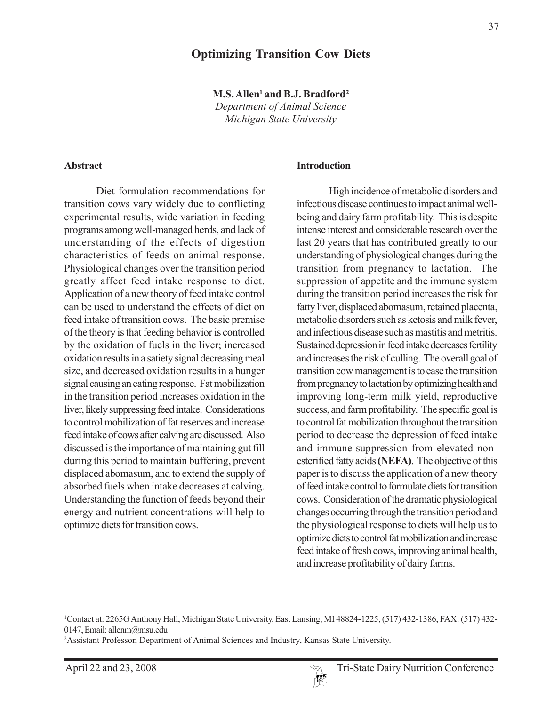#### **Optimizing Transition Cow Diets**

**M.S. Allen1 and B.J. Bradford2** *Department of Animal Science Michigan State University*

#### **Abstract**

Diet formulation recommendations for transition cows vary widely due to conflicting experimental results, wide variation in feeding programs among well-managed herds, and lack of understanding of the effects of digestion characteristics of feeds on animal response. Physiological changes over the transition period greatly affect feed intake response to diet. Application of a new theory of feed intake control can be used to understand the effects of diet on feed intake of transition cows. The basic premise of the theory is that feeding behavior is controlled by the oxidation of fuels in the liver; increased oxidation results in a satiety signal decreasing meal size, and decreased oxidation results in a hunger signal causing an eating response. Fat mobilization in the transition period increases oxidation in the liver, likely suppressing feed intake. Considerations to control mobilization of fat reserves and increase feed intake of cows after calving are discussed. Also discussed is the importance of maintaining gut fill during this period to maintain buffering, prevent displaced abomasum, and to extend the supply of absorbed fuels when intake decreases at calving. Understanding the function of feeds beyond their energy and nutrient concentrations will help to optimize diets for transition cows.

#### **Introduction**

High incidence of metabolic disorders and infectious disease continues to impact animal wellbeing and dairy farm profitability. This is despite intense interest and considerable research over the last 20 years that has contributed greatly to our understanding of physiological changes during the transition from pregnancy to lactation. The suppression of appetite and the immune system during the transition period increases the risk for fatty liver, displaced abomasum, retained placenta, metabolic disorders such as ketosis and milk fever, and infectious disease such as mastitis and metritis. Sustained depression in feed intake decreases fertility and increases the risk of culling. The overall goal of transition cow management is to ease the transition from pregnancy to lactation by optimizing health and improving long-term milk yield, reproductive success, and farm profitability. The specific goal is to control fat mobilization throughout the transition period to decrease the depression of feed intake and immune-suppression from elevated nonesterified fatty acids **(NEFA)**. The objective of this paper is to discuss the application of a new theory of feed intake control to formulate diets for transition cows. Consideration of the dramatic physiological changes occurring through the transition period and the physiological response to diets will help us to optimize diets to control fat mobilization and increase feed intake of fresh cows, improving animal health, and increase profitability of dairy farms.



<sup>1</sup> Contact at: 2265G Anthony Hall, Michigan State University, East Lansing, MI 48824-1225, (517) 432-1386, FAX: (517) 432- 0147, Email: allenm@msu.edu

<sup>2</sup> Assistant Professor, Department of Animal Sciences and Industry, Kansas State University.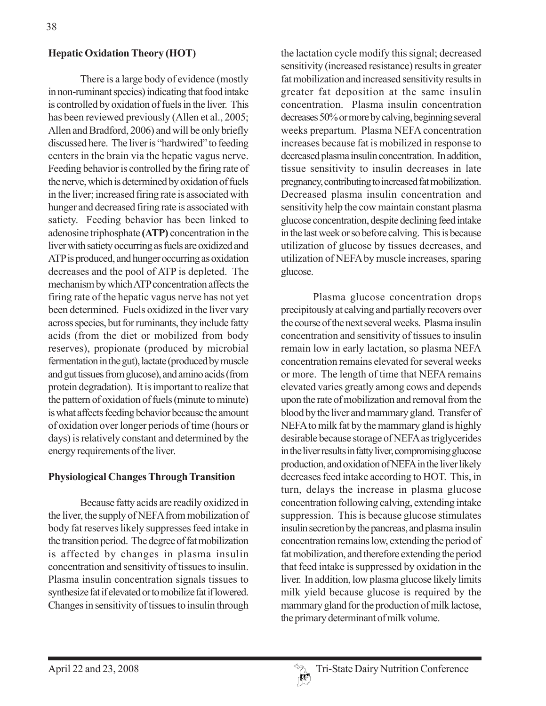# **Hepatic Oxidation Theory (HOT)**

There is a large body of evidence (mostly in non-ruminant species) indicating that food intake is controlled by oxidation of fuels in the liver. This has been reviewed previously (Allen et al., 2005; Allen and Bradford, 2006) and will be only briefly discussed here. The liver is "hardwired" to feeding centers in the brain via the hepatic vagus nerve. Feeding behavior is controlled by the firing rate of the nerve, which is determined by oxidation of fuels in the liver; increased firing rate is associated with hunger and decreased firing rate is associated with satiety. Feeding behavior has been linked to adenosine triphosphate **(ATP)** concentration in the liver with satiety occurring as fuels are oxidized and ATP is produced, and hunger occurring as oxidation decreases and the pool of ATP is depleted. The mechanism by which ATP concentration affects the firing rate of the hepatic vagus nerve has not yet been determined. Fuels oxidized in the liver vary across species, but for ruminants, they include fatty acids (from the diet or mobilized from body reserves), propionate (produced by microbial fermentation in the gut), lactate (produced by muscle and gut tissues from glucose), and amino acids (from protein degradation). It is important to realize that the pattern of oxidation of fuels (minute to minute) is what affects feeding behavior because the amount of oxidation over longer periods of time (hours or days) is relatively constant and determined by the energy requirements of the liver.

# **Physiological Changes Through Transition**

Because fatty acids are readily oxidized in the liver, the supply of NEFA from mobilization of body fat reserves likely suppresses feed intake in the transition period. The degree of fat mobilization is affected by changes in plasma insulin concentration and sensitivity of tissues to insulin. Plasma insulin concentration signals tissues to synthesize fat if elevated or to mobilize fat if lowered. Changes in sensitivity of tissues to insulin through the lactation cycle modify this signal; decreased sensitivity (increased resistance) results in greater fat mobilization and increased sensitivity results in greater fat deposition at the same insulin concentration. Plasma insulin concentration decreases 50% or more by calving, beginning several weeks prepartum. Plasma NEFA concentration increases because fat is mobilized in response to decreased plasma insulin concentration. In addition, tissue sensitivity to insulin decreases in late pregnancy, contributing to increased fat mobilization. Decreased plasma insulin concentration and sensitivity help the cow maintain constant plasma glucose concentration, despite declining feed intake in the last week or so before calving. This is because utilization of glucose by tissues decreases, and utilization of NEFA by muscle increases, sparing glucose.

Plasma glucose concentration drops precipitously at calving and partially recovers over the course of the next several weeks. Plasma insulin concentration and sensitivity of tissues to insulin remain low in early lactation, so plasma NEFA concentration remains elevated for several weeks or more. The length of time that NEFA remains elevated varies greatly among cows and depends upon the rate of mobilization and removal from the blood by the liver and mammary gland. Transfer of NEFA to milk fat by the mammary gland is highly desirable because storage of NEFA as triglycerides in the liver results in fatty liver, compromising glucose production, and oxidation of NEFA in the liver likely decreases feed intake according to HOT. This, in turn, delays the increase in plasma glucose concentration following calving, extending intake suppression. This is because glucose stimulates insulin secretion by the pancreas, and plasma insulin concentration remains low, extending the period of fat mobilization, and therefore extending the period that feed intake is suppressed by oxidation in the liver. In addition, low plasma glucose likely limits milk yield because glucose is required by the mammary gland for the production of milk lactose, the primary determinant of milk volume.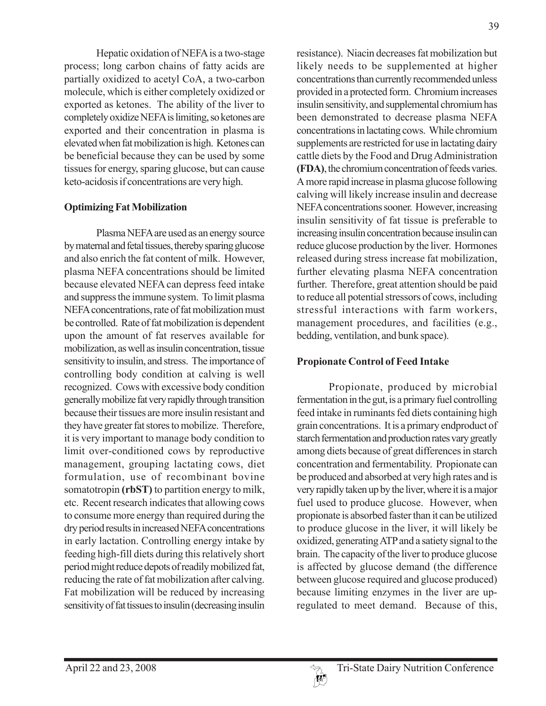Hepatic oxidation of NEFA is a two-stage process; long carbon chains of fatty acids are partially oxidized to acetyl CoA, a two-carbon molecule, which is either completely oxidized or exported as ketones. The ability of the liver to completely oxidize NEFA is limiting, so ketones are exported and their concentration in plasma is elevated when fat mobilization is high. Ketones can be beneficial because they can be used by some tissues for energy, sparing glucose, but can cause keto-acidosis if concentrations are very high.

#### **Optimizing Fat Mobilization**

Plasma NEFA are used as an energy source by maternal and fetal tissues, thereby sparing glucose and also enrich the fat content of milk. However, plasma NEFA concentrations should be limited because elevated NEFA can depress feed intake and suppress the immune system. To limit plasma NEFA concentrations, rate of fat mobilization must be controlled. Rate of fat mobilization is dependent upon the amount of fat reserves available for mobilization, as well as insulin concentration, tissue sensitivity to insulin, and stress. The importance of controlling body condition at calving is well recognized. Cows with excessive body condition generally mobilize fat very rapidly through transition because their tissues are more insulin resistant and they have greater fat stores to mobilize. Therefore, it is very important to manage body condition to limit over-conditioned cows by reproductive management, grouping lactating cows, diet formulation, use of recombinant bovine somatotropin **(rbST)** to partition energy to milk, etc. Recent research indicates that allowing cows to consume more energy than required during the dry period results in increased NEFA concentrations in early lactation. Controlling energy intake by feeding high-fill diets during this relatively short period might reduce depots of readily mobilized fat, reducing the rate of fat mobilization after calving. Fat mobilization will be reduced by increasing sensitivity of fat tissues to insulin (decreasing insulin

resistance). Niacin decreases fat mobilization but likely needs to be supplemented at higher concentrations than currently recommended unless provided in a protected form. Chromium increases insulin sensitivity, and supplemental chromium has been demonstrated to decrease plasma NEFA concentrations in lactating cows. While chromium supplements are restricted for use in lactating dairy cattle diets by the Food and Drug Administration **(FDA)**, the chromium concentration of feeds varies. A more rapid increase in plasma glucose following calving will likely increase insulin and decrease NEFA concentrations sooner. However, increasing insulin sensitivity of fat tissue is preferable to increasing insulin concentration because insulin can reduce glucose production by the liver. Hormones released during stress increase fat mobilization, further elevating plasma NEFA concentration further. Therefore, great attention should be paid to reduce all potential stressors of cows, including stressful interactions with farm workers, management procedures, and facilities (e.g., bedding, ventilation, and bunk space).

# **Propionate Control of Feed Intake**

Propionate, produced by microbial fermentation in the gut, is a primary fuel controlling feed intake in ruminants fed diets containing high grain concentrations. It is a primary endproduct of starch fermentation and production rates vary greatly among diets because of great differences in starch concentration and fermentability. Propionate can be produced and absorbed at very high rates and is very rapidly taken up by the liver, where it is a major fuel used to produce glucose. However, when propionate is absorbed faster than it can be utilized to produce glucose in the liver, it will likely be oxidized, generating ATP and a satiety signal to the brain. The capacity of the liver to produce glucose is affected by glucose demand (the difference between glucose required and glucose produced) because limiting enzymes in the liver are upregulated to meet demand. Because of this,

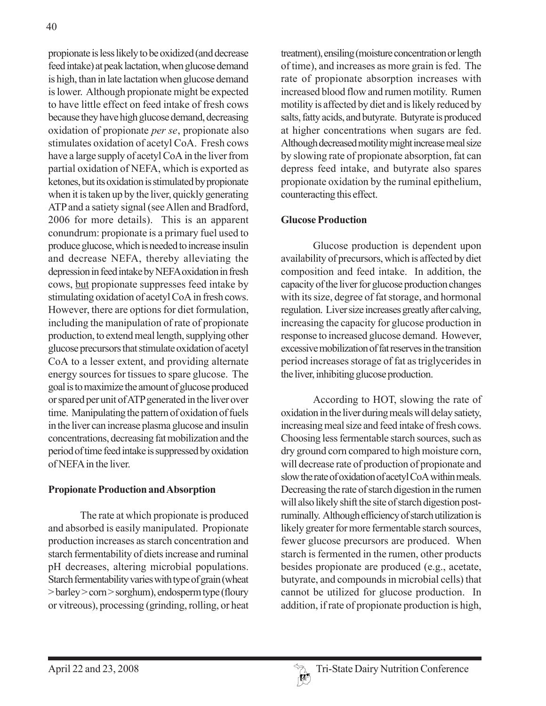propionate is less likely to be oxidized (and decrease feed intake) at peak lactation, when glucose demand is high, than in late lactation when glucose demand is lower. Although propionate might be expected to have little effect on feed intake of fresh cows because they have high glucose demand, decreasing oxidation of propionate *per se*, propionate also stimulates oxidation of acetyl CoA. Fresh cows have a large supply of acetyl CoA in the liver from partial oxidation of NEFA, which is exported as ketones, but its oxidation is stimulated by propionate when it is taken up by the liver, quickly generating ATP and a satiety signal (see Allen and Bradford, 2006 for more details). This is an apparent conundrum: propionate is a primary fuel used to produce glucose, which is needed to increase insulin and decrease NEFA, thereby alleviating the depression in feed intake by NEFA oxidation in fresh cows, but propionate suppresses feed intake by stimulating oxidation of acetyl CoA in fresh cows. However, there are options for diet formulation, including the manipulation of rate of propionate production, to extend meal length, supplying other glucose precursors that stimulate oxidation of acetyl CoA to a lesser extent, and providing alternate energy sources for tissues to spare glucose. The goal is to maximize the amount of glucose produced or spared per unit of ATP generated in the liver over time. Manipulating the pattern of oxidation of fuels in the liver can increase plasma glucose and insulin concentrations, decreasing fat mobilization and the period of time feed intake is suppressed by oxidation of NEFA in the liver.

# **Propionate Production and Absorption**

The rate at which propionate is produced and absorbed is easily manipulated. Propionate production increases as starch concentration and starch fermentability of diets increase and ruminal pH decreases, altering microbial populations. Starch fermentability varies with type of grain (wheat > barley > corn > sorghum), endosperm type (floury or vitreous), processing (grinding, rolling, or heat

treatment), ensiling (moisture concentration or length of time), and increases as more grain is fed. The rate of propionate absorption increases with increased blood flow and rumen motility. Rumen motility is affected by diet and is likely reduced by salts, fatty acids, and butyrate. Butyrate is produced at higher concentrations when sugars are fed. Although decreased motility might increase meal size by slowing rate of propionate absorption, fat can depress feed intake, and butyrate also spares propionate oxidation by the ruminal epithelium, counteracting this effect.

# **Glucose Production**

Glucose production is dependent upon availability of precursors, which is affected by diet composition and feed intake. In addition, the capacity of the liver for glucose production changes with its size, degree of fat storage, and hormonal regulation. Liver size increases greatly after calving, increasing the capacity for glucose production in response to increased glucose demand. However, excessive mobilization of fat reserves in the transition period increases storage of fat as triglycerides in the liver, inhibiting glucose production.

According to HOT, slowing the rate of oxidation in the liver during meals will delay satiety, increasing meal size and feed intake of fresh cows. Choosing less fermentable starch sources, such as dry ground corn compared to high moisture corn, will decrease rate of production of propionate and slow the rate of oxidation of acetyl CoA within meals. Decreasing the rate of starch digestion in the rumen will also likely shift the site of starch digestion postruminally. Although efficiency of starch utilization is likely greater for more fermentable starch sources, fewer glucose precursors are produced. When starch is fermented in the rumen, other products besides propionate are produced (e.g., acetate, butyrate, and compounds in microbial cells) that cannot be utilized for glucose production. In addition, if rate of propionate production is high,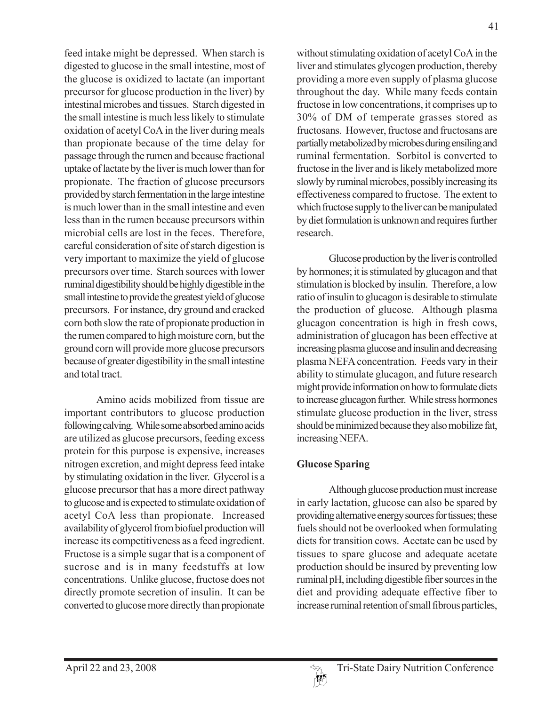feed intake might be depressed. When starch is digested to glucose in the small intestine, most of the glucose is oxidized to lactate (an important precursor for glucose production in the liver) by intestinal microbes and tissues. Starch digested in the small intestine is much less likely to stimulate oxidation of acetyl CoA in the liver during meals than propionate because of the time delay for passage through the rumen and because fractional uptake of lactate by the liver is much lower than for propionate. The fraction of glucose precursors provided by starch fermentation in the large intestine is much lower than in the small intestine and even less than in the rumen because precursors within microbial cells are lost in the feces. Therefore, careful consideration of site of starch digestion is very important to maximize the yield of glucose precursors over time. Starch sources with lower ruminal digestibility should be highly digestible in the small intestine to provide the greatest yield of glucose precursors. For instance, dry ground and cracked corn both slow the rate of propionate production in the rumen compared to high moisture corn, but the ground corn will provide more glucose precursors because of greater digestibility in the small intestine and total tract.

Amino acids mobilized from tissue are important contributors to glucose production following calving. While some absorbed amino acids are utilized as glucose precursors, feeding excess protein for this purpose is expensive, increases nitrogen excretion, and might depress feed intake by stimulating oxidation in the liver. Glycerol is a glucose precursor that has a more direct pathway to glucose and is expected to stimulate oxidation of acetyl CoA less than propionate. Increased availability of glycerol from biofuel production will increase its competitiveness as a feed ingredient. Fructose is a simple sugar that is a component of sucrose and is in many feedstuffs at low concentrations. Unlike glucose, fructose does not directly promote secretion of insulin. It can be converted to glucose more directly than propionate

without stimulating oxidation of acetyl CoA in the liver and stimulates glycogen production, thereby providing a more even supply of plasma glucose throughout the day. While many feeds contain fructose in low concentrations, it comprises up to 30% of DM of temperate grasses stored as fructosans. However, fructose and fructosans are partially metabolized by microbes during ensiling and ruminal fermentation. Sorbitol is converted to fructose in the liver and is likely metabolized more slowly by ruminal microbes, possibly increasing its effectiveness compared to fructose. The extent to which fructose supply to the liver can be manipulated by diet formulation is unknown and requires further research.

Glucose production by the liver is controlled by hormones; it is stimulated by glucagon and that stimulation is blocked by insulin. Therefore, a low ratio of insulin to glucagon is desirable to stimulate the production of glucose. Although plasma glucagon concentration is high in fresh cows, administration of glucagon has been effective at increasing plasma glucose and insulin and decreasing plasma NEFA concentration. Feeds vary in their ability to stimulate glucagon, and future research might provide information on how to formulate diets to increase glucagon further. While stress hormones stimulate glucose production in the liver, stress should be minimized because they also mobilize fat, increasing NEFA.

# **Glucose Sparing**

Although glucose production must increase in early lactation, glucose can also be spared by providing alternative energy sources for tissues; these fuels should not be overlooked when formulating diets for transition cows. Acetate can be used by tissues to spare glucose and adequate acetate production should be insured by preventing low ruminal pH, including digestible fiber sources in the diet and providing adequate effective fiber to increase ruminal retention of small fibrous particles,

41

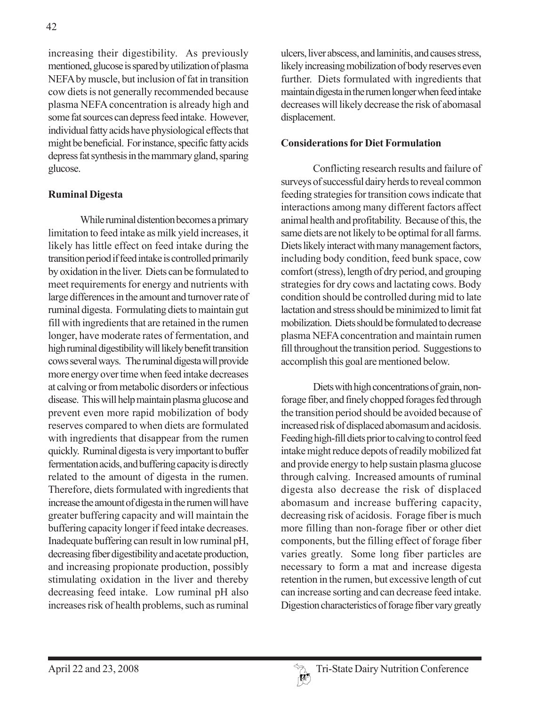increasing their digestibility. As previously mentioned, glucose is spared by utilization of plasma NEFA by muscle, but inclusion of fat in transition cow diets is not generally recommended because plasma NEFA concentration is already high and some fat sources can depress feed intake. However, individual fatty acids have physiological effects that might be beneficial. For instance, specific fatty acids depress fat synthesis in the mammary gland, sparing glucose.

#### **Ruminal Digesta**

While ruminal distention becomes a primary limitation to feed intake as milk yield increases, it likely has little effect on feed intake during the transition period if feed intake is controlled primarily by oxidation in the liver. Diets can be formulated to meet requirements for energy and nutrients with large differences in the amount and turnover rate of ruminal digesta. Formulating diets to maintain gut fill with ingredients that are retained in the rumen longer, have moderate rates of fermentation, and high ruminal digestibility will likely benefit transition cows several ways. The ruminal digesta will provide more energy over time when feed intake decreases at calving or from metabolic disorders or infectious disease. This will help maintain plasma glucose and prevent even more rapid mobilization of body reserves compared to when diets are formulated with ingredients that disappear from the rumen quickly. Ruminal digesta is very important to buffer fermentation acids, and buffering capacity is directly related to the amount of digesta in the rumen. Therefore, diets formulated with ingredients that increase the amount of digesta in the rumen will have greater buffering capacity and will maintain the buffering capacity longer if feed intake decreases. Inadequate buffering can result in low ruminal pH, decreasing fiber digestibility and acetate production, and increasing propionate production, possibly stimulating oxidation in the liver and thereby decreasing feed intake. Low ruminal pH also increases risk of health problems, such as ruminal

ulcers, liver abscess, and laminitis, and causes stress, likely increasing mobilization of body reserves even further. Diets formulated with ingredients that maintain digesta in the rumen longer when feed intake decreases will likely decrease the risk of abomasal displacement.

#### **Considerations for Diet Formulation**

Conflicting research results and failure of surveys of successful dairy herds to reveal common feeding strategies for transition cows indicate that interactions among many different factors affect animal health and profitability. Because of this, the same diets are not likely to be optimal for all farms. Diets likely interact with many management factors, including body condition, feed bunk space, cow comfort (stress), length of dry period, and grouping strategies for dry cows and lactating cows. Body condition should be controlled during mid to late lactation and stress should be minimized to limit fat mobilization. Diets should be formulated to decrease plasma NEFA concentration and maintain rumen fill throughout the transition period. Suggestions to accomplish this goal are mentioned below.

Diets with high concentrations of grain, nonforage fiber, and finely chopped forages fed through the transition period should be avoided because of increased risk of displaced abomasum and acidosis. Feeding high-fill diets prior to calving to control feed intake might reduce depots of readily mobilized fat and provide energy to help sustain plasma glucose through calving. Increased amounts of ruminal digesta also decrease the risk of displaced abomasum and increase buffering capacity, decreasing risk of acidosis. Forage fiber is much more filling than non-forage fiber or other diet components, but the filling effect of forage fiber varies greatly. Some long fiber particles are necessary to form a mat and increase digesta retention in the rumen, but excessive length of cut can increase sorting and can decrease feed intake. Digestion characteristics of forage fiber vary greatly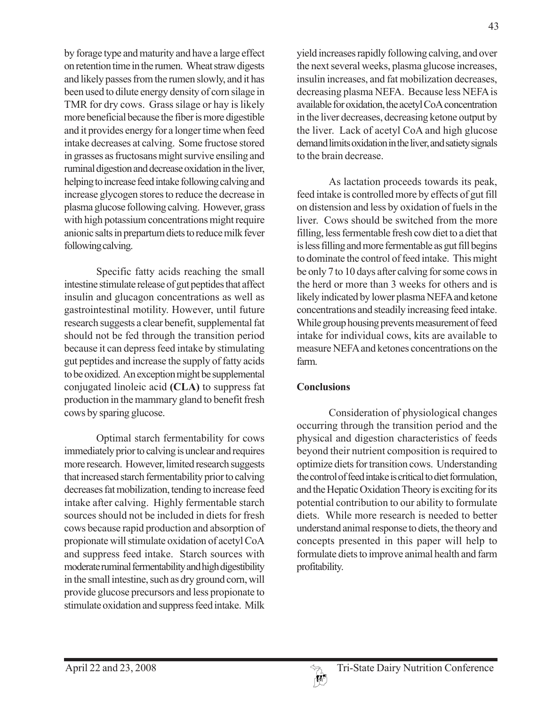by forage type and maturity and have a large effect on retention time in the rumen. Wheat straw digests and likely passes from the rumen slowly, and it has been used to dilute energy density of corn silage in TMR for dry cows. Grass silage or hay is likely more beneficial because the fiber is more digestible and it provides energy for a longer time when feed intake decreases at calving. Some fructose stored in grasses as fructosans might survive ensiling and ruminal digestion and decrease oxidation in the liver, helping to increase feed intake following calving and increase glycogen stores to reduce the decrease in plasma glucose following calving. However, grass with high potassium concentrations might require anionic salts in prepartum diets to reduce milk fever following calving.

Specific fatty acids reaching the small intestine stimulate release of gut peptides that affect insulin and glucagon concentrations as well as gastrointestinal motility. However, until future research suggests a clear benefit, supplemental fat should not be fed through the transition period because it can depress feed intake by stimulating gut peptides and increase the supply of fatty acids to be oxidized. An exception might be supplemental conjugated linoleic acid **(CLA)** to suppress fat production in the mammary gland to benefit fresh cows by sparing glucose.

Optimal starch fermentability for cows immediately prior to calving is unclear and requires more research. However, limited research suggests that increased starch fermentability prior to calving decreases fat mobilization, tending to increase feed intake after calving. Highly fermentable starch sources should not be included in diets for fresh cows because rapid production and absorption of propionate will stimulate oxidation of acetyl CoA and suppress feed intake. Starch sources with moderate ruminal fermentability and high digestibility in the small intestine, such as dry ground corn, will provide glucose precursors and less propionate to stimulate oxidation and suppress feed intake. Milk

yield increases rapidly following calving, and over the next several weeks, plasma glucose increases, insulin increases, and fat mobilization decreases, decreasing plasma NEFA. Because less NEFA is available for oxidation, the acetyl CoA concentration in the liver decreases, decreasing ketone output by the liver. Lack of acetyl CoA and high glucose demand limits oxidation in the liver, and satiety signals to the brain decrease.

As lactation proceeds towards its peak, feed intake is controlled more by effects of gut fill on distension and less by oxidation of fuels in the liver. Cows should be switched from the more filling, less fermentable fresh cow diet to a diet that is less filling and more fermentable as gut fill begins to dominate the control of feed intake. This might be only 7 to 10 days after calving for some cows in the herd or more than 3 weeks for others and is likely indicated by lower plasma NEFA and ketone concentrations and steadily increasing feed intake. While group housing prevents measurement of feed intake for individual cows, kits are available to measure NEFA and ketones concentrations on the farm.

# **Conclusions**

Consideration of physiological changes occurring through the transition period and the physical and digestion characteristics of feeds beyond their nutrient composition is required to optimize diets for transition cows. Understanding the control of feed intake is critical to diet formulation, and the Hepatic Oxidation Theory is exciting for its potential contribution to our ability to formulate diets. While more research is needed to better understand animal response to diets, the theory and concepts presented in this paper will help to formulate diets to improve animal health and farm profitability.

 $\{h^{\beta}\}$